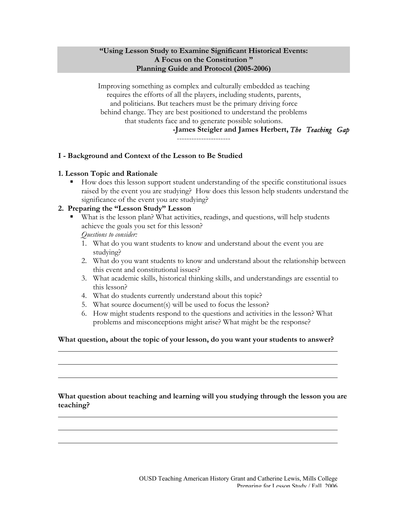# **"Using Lesson Study to Examine Significant Historical Events: A Focus on the Constitution " Planning Guide and Protocol (2005-2006)**

Improving something as complex and culturally embedded as teaching requires the efforts of all the players, including students, parents, and politicians. But teachers must be the primary driving force behind change. They are best positioned to understand the problems that students face and to generate possible solutions. **-James Steigler and James Herbert,** *The Teaching Gap*

# ----------------------

## **I - Background and Context of the Lesson to Be Studied**

#### **1. Lesson Topic and Rationale**

■ How does this lesson support student understanding of the specific constitutional issues raised by the event you are studying? How does this lesson help students understand the significance of the event you are studying?

## **2. Preparing the "Lesson Study" Lesson**

What is the lesson plan? What activities, readings, and questions, will help students achieve the goals you set for this lesson?

*Questions to consider:*

- 1. What do you want students to know and understand about the event you are studying?
- 2. What do you want students to know and understand about the relationship between this event and constitutional issues?
- 3. What academic skills, historical thinking skills, and understandings are essential to this lesson?
- 4. What do students currently understand about this topic?
- 5. What source document(s) will be used to focus the lesson?
- 6. How might students respond to the questions and activities in the lesson? What problems and misconceptions might arise? What might be the response?

#### **What question, about the topic of your lesson, do you want your students to answer?**

## **What question about teaching and learning will you studying through the lesson you are teaching?**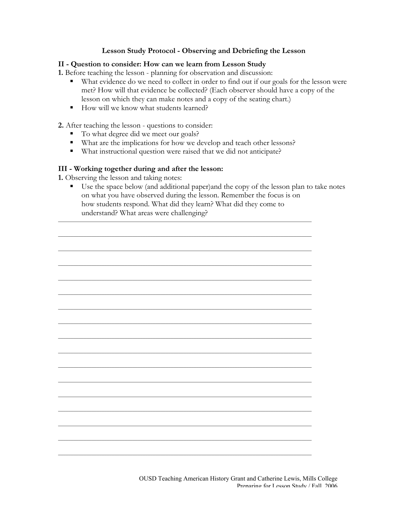## **Lesson Study Protocol - Observing and Debriefing the Lesson**

#### **II - Question to consider: How can we learn from Lesson Study**

**1.** Before teaching the lesson - planning for observation and discussion:

- What evidence do we need to collect in order to find out if our goals for the lesson were met? How will that evidence be collected? (Each observer should have a copy of the lesson on which they can make notes and a copy of the seating chart.)
- $\blacksquare$  How will we know what students learned?

**2.** After teaching the lesson - questions to consider:

- To what degree did we meet our goals?
- What are the implications for how we develop and teach other lessons?

 $\ldots$  . The contribution of the contribution of the contribution of the contribution of the contribution of the contribution of the contribution of the contribution of the contribution of the contribution of the contribut

 $\bot$  , and the set of the set of the set of the set of the set of the set of the set of the set of the set of the set of the set of the set of the set of the set of the set of the set of the set of the set of the set of t

 $\bot$  , and the set of the set of the set of the set of the set of the set of the set of the set of the set of the set of the set of the set of the set of the set of the set of the set of the set of the set of the set of t

 $\bot$  , and the set of the set of the set of the set of the set of the set of the set of the set of the set of the set of the set of the set of the set of the set of the set of the set of the set of the set of the set of t

 $\ldots$  . The contribution of the contribution of the contribution of the contribution of the contribution of the contribution of the contribution of the contribution of the contribution of the contribution of the contribut

 $\bot$  , and the set of the set of the set of the set of the set of the set of the set of the set of the set of the set of the set of the set of the set of the set of the set of the set of the set of the set of the set of t

 $\bot$  , and the set of the set of the set of the set of the set of the set of the set of the set of the set of the set of the set of the set of the set of the set of the set of the set of the set of the set of the set of t

 $\bot$  , and the set of the set of the set of the set of the set of the set of the set of the set of the set of the set of the set of the set of the set of the set of the set of the set of the set of the set of the set of t

 $\ldots$  . The contribution of the contribution of the contribution of the contribution of the contribution of the contribution of the contribution of the contribution of the contribution of the contribution of the contribut

 $\bot$  , and the set of the set of the set of the set of the set of the set of the set of the set of the set of the set of the set of the set of the set of the set of the set of the set of the set of the set of the set of t

 $\bot$  , and the set of the set of the set of the set of the set of the set of the set of the set of the set of the set of the set of the set of the set of the set of the set of the set of the set of the set of the set of t

 $\bot$  , and the set of the set of the set of the set of the set of the set of the set of the set of the set of the set of the set of the set of the set of the set of the set of the set of the set of the set of the set of t

 $\ldots$  . The contribution of the contribution of the contribution of the contribution of the contribution of the contribution of the contribution of the contribution of the contribution of the contribution of the contribut

 $\bot$  , and the set of the set of the set of the set of the set of the set of the set of the set of the set of the set of the set of the set of the set of the set of the set of the set of the set of the set of the set of t

 $\bot$  , and the set of the set of the set of the set of the set of the set of the set of the set of the set of the set of the set of the set of the set of the set of the set of the set of the set of the set of the set of t

 $\bot$  , and the set of the set of the set of the set of the set of the set of the set of the set of the set of the set of the set of the set of the set of the set of the set of the set of the set of the set of the set of t

What instructional question were raised that we did not anticipate?

#### **III - Working together during and after the lesson:**

**1.** Observing the lesson and taking notes:

ß Use the space below (and additional paper)and the copy of the lesson plan to take notes on what you have observed during the lesson. Remember the focus is on how students respond. What did they learn? What did they come to understand? What areas were challenging?  $\bot$  , and the set of the set of the set of the set of the set of the set of the set of the set of the set of the set of the set of the set of the set of the set of the set of the set of the set of the set of the set of t

> OUSD Teaching American History Grant and Catherine Lewis, Mills College Preparing for Lesson Study / Fall, 2006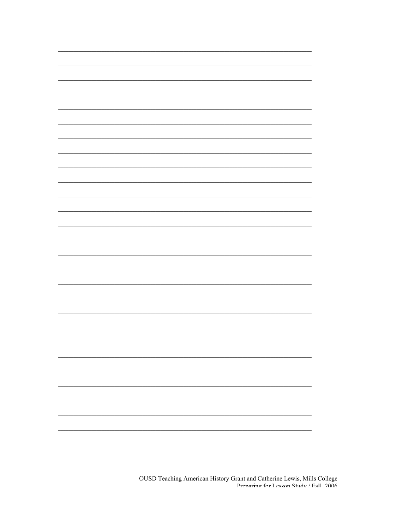